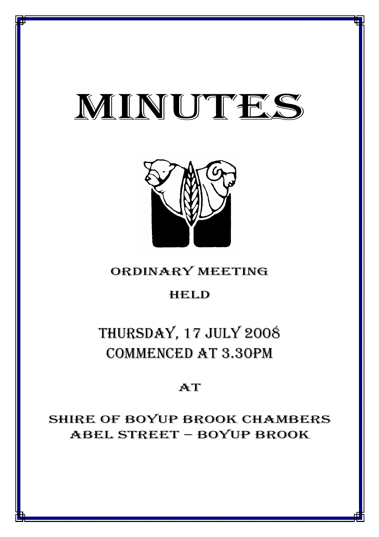# MINUTES

*MINUTES OF THE ORDINARY MEETING OF COUNCIL HELD ON 17 JULY 2008*



## ORDINARY MEETING

### HELD

## THURSDAY, 17 JULY 2008 COMMENCED AT 3.30PM

## AT

## SHIRE OF BOYUP BROOK CHAMBERS ABEL STREET – BOYUP BROOK

<u>1941 - Johann John Harry Harry Harry Harry Harry Harry Harry Harry Harry Harry Harry Harry Harry Harry Harry H</u>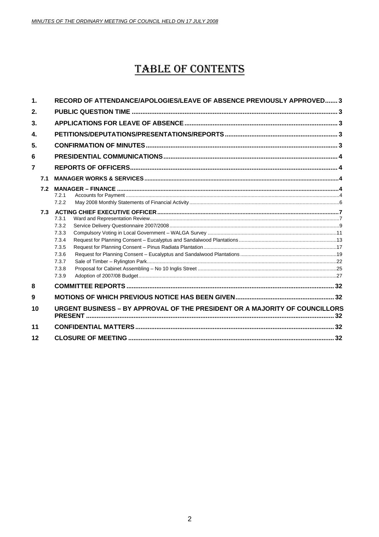## **TABLE OF CONTENTS**

| $\mathbf 1$    |     | RECORD OF ATTENDANCE/APOLOGIES/LEAVE OF ABSENCE PREVIOUSLY APPROVED 3         |  |
|----------------|-----|-------------------------------------------------------------------------------|--|
| 2.             |     |                                                                               |  |
| 3.             |     |                                                                               |  |
| 4.             |     |                                                                               |  |
| 5.             |     |                                                                               |  |
| 6              |     |                                                                               |  |
| $\overline{7}$ |     |                                                                               |  |
|                | 7.1 |                                                                               |  |
|                | 7.2 | 7.2.1<br>7.2.2                                                                |  |
|                | 7.3 | 7.3.1<br>7.3.2<br>7.3.3<br>7.3.4<br>7.3.5<br>7.3.6<br>7.3.7<br>7.3.8<br>7.3.9 |  |
| 8              |     |                                                                               |  |
| 9              |     |                                                                               |  |
| 10             |     | URGENT BUSINESS - BY APPROVAL OF THE PRESIDENT OR A MAJORITY OF COUNCILLORS   |  |
| 11             |     |                                                                               |  |
| 12             |     |                                                                               |  |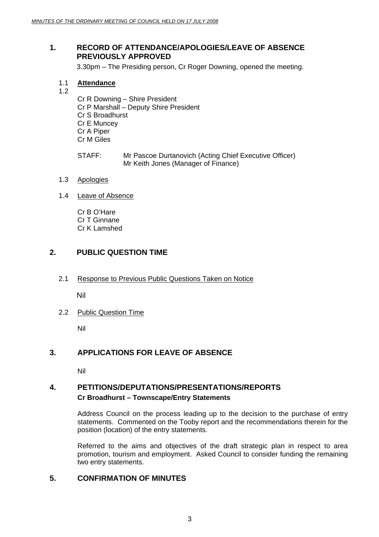#### **1. RECORD OF ATTENDANCE/APOLOGIES/LEAVE OF ABSENCE PREVIOUSLY APPROVED**

3.30pm – The Presiding person, Cr Roger Downing, opened the meeting.

1.1 **Attendance** 1.2

Cr R Downing – Shire President Cr P Marshall – Deputy Shire President Cr S Broadhurst Cr E Muncey Cr A Piper Cr M Giles

- STAFF: Mr Pascoe Durtanovich (Acting Chief Executive Officer) Mr Keith Jones (Manager of Finance)
- 1.3 Apologies
- 1.4 Leave of Absence

Cr B O'Hare Cr T Ginnane Cr K Lamshed

#### **2. PUBLIC QUESTION TIME**

2.1 Response to Previous Public Questions Taken on Notice

Nil

2.2 Public Question Time

Nil

#### **3. APPLICATIONS FOR LEAVE OF ABSENCE**

Nil

#### **4. PETITIONS/DEPUTATIONS/PRESENTATIONS/REPORTS Cr Broadhurst – Townscape/Entry Statements**

Address Council on the process leading up to the decision to the purchase of entry statements. Commented on the Tooby report and the recommendations therein for the position (location) of the entry statements.

Referred to the aims and objectives of the draft strategic plan in respect to area promotion, tourism and employment. Asked Council to consider funding the remaining two entry statements.

#### **5. CONFIRMATION OF MINUTES**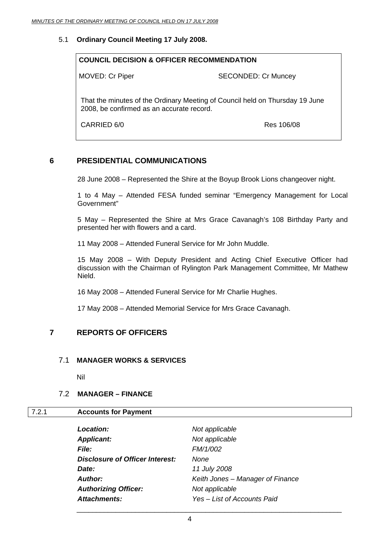#### 5.1 **Ordinary Council Meeting 17 July 2008.**

## **COUNCIL DECISION & OFFICER RECOMMENDATION**  MOVED: Cr Piper SECONDED: Cr Muncey That the minutes of the Ordinary Meeting of Council held on Thursday 19 June 2008, be confirmed as an accurate record.

CARRIED 6/0 Res 106/08

#### **6 PRESIDENTIAL COMMUNICATIONS**

28 June 2008 – Represented the Shire at the Boyup Brook Lions changeover night.

1 to 4 May – Attended FESA funded seminar "Emergency Management for Local Government"

5 May – Represented the Shire at Mrs Grace Cavanagh's 108 Birthday Party and presented her with flowers and a card.

11 May 2008 – Attended Funeral Service for Mr John Muddle.

15 May 2008 – With Deputy President and Acting Chief Executive Officer had discussion with the Chairman of Rylington Park Management Committee, Mr Mathew Nield.

16 May 2008 – Attended Funeral Service for Mr Charlie Hughes.

17 May 2008 – Attended Memorial Service for Mrs Grace Cavanagh.

#### **7 REPORTS OF OFFICERS**

#### 7.1 **MANAGER WORKS & SERVICES**

Nil

#### 7.2 **MANAGER – FINANCE**

#### 7.2.1 **Accounts for Payment**

| <b>Location:</b>                | Not applicable                   |
|---------------------------------|----------------------------------|
| <b>Applicant:</b>               | Not applicable                   |
| <i>File:</i>                    | FM/1/002                         |
| Disclosure of Officer Interest: | None                             |
| Date:                           | 11 July 2008                     |
| Author:                         | Keith Jones – Manager of Finance |
| <b>Authorizing Officer:</b>     | Not applicable                   |
| Attachments:                    | Yes – List of Accounts Paid      |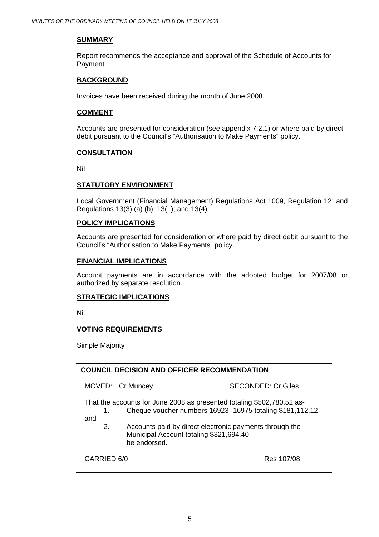#### **SUMMARY**

Report recommends the acceptance and approval of the Schedule of Accounts for Payment.

#### **BACKGROUND**

Invoices have been received during the month of June 2008.

#### **COMMENT**

Accounts are presented for consideration (see appendix 7.2.1) or where paid by direct debit pursuant to the Council's "Authorisation to Make Payments" policy.

#### **CONSULTATION**

Nil

#### **STATUTORY ENVIRONMENT**

 Local Government (Financial Management) Regulations Act 1009, Regulation 12; and Regulations 13(3) (a) (b); 13(1); and 13(4).

#### **POLICY IMPLICATIONS**

Accounts are presented for consideration or where paid by direct debit pursuant to the Council's "Authorisation to Make Payments" policy.

#### **FINANCIAL IMPLICATIONS**

Account payments are in accordance with the adopted budget for 2007/08 or authorized by separate resolution.

#### **STRATEGIC IMPLICATIONS**

Nil

#### **VOTING REQUIREMENTS**

Simple Majority

| <b>COUNCIL DECISION AND OFFICER RECOMMENDATION</b>                                                                                               |                                                         |                                                         |  |
|--------------------------------------------------------------------------------------------------------------------------------------------------|---------------------------------------------------------|---------------------------------------------------------|--|
|                                                                                                                                                  | MOVED: Cr Muncey                                        | SECONDED: Cr Giles                                      |  |
| That the accounts for June 2008 as presented totaling \$502,780.52 as-<br>Cheque voucher numbers 16923 -16975 totaling \$181,112.12<br>1.<br>and |                                                         |                                                         |  |
| 2.                                                                                                                                               | Municipal Account totaling \$321,694.40<br>be endorsed. | Accounts paid by direct electronic payments through the |  |
| CARRIED 6/0<br>Res 107/08                                                                                                                        |                                                         |                                                         |  |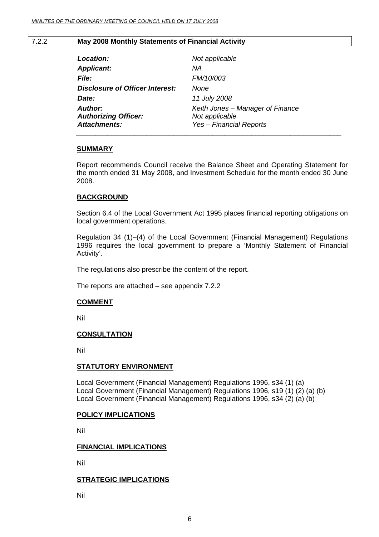#### 7.2.2 **May 2008 Monthly Statements of Financial Activity**

| Location:                                                     | Not applicable                                                                       |
|---------------------------------------------------------------|--------------------------------------------------------------------------------------|
| <b>Applicant:</b>                                             | ΝA                                                                                   |
| <i>File:</i>                                                  | FM/10/003                                                                            |
| <b>Disclosure of Officer Interest:</b>                        | None                                                                                 |
| Date:                                                         | 11 July 2008                                                                         |
| Author:<br><b>Authorizing Officer:</b><br><b>Attachments:</b> | Keith Jones - Manager of Finance<br>Not applicable<br><b>Yes - Financial Reports</b> |
|                                                               |                                                                                      |

#### **SUMMARY**

Report recommends Council receive the Balance Sheet and Operating Statement for the month ended 31 May 2008, and Investment Schedule for the month ended 30 June 2008.

#### **BACKGROUND**

Section 6.4 of the Local Government Act 1995 places financial reporting obligations on local government operations.

Regulation 34 (1)–(4) of the Local Government (Financial Management) Regulations 1996 requires the local government to prepare a 'Monthly Statement of Financial Activity'.

The regulations also prescribe the content of the report.

The reports are attached – see appendix 7.2.2

#### **COMMENT**

Nil

#### **CONSULTATION**

Nil

#### **STATUTORY ENVIRONMENT**

Local Government (Financial Management) Regulations 1996, s34 (1) (a) Local Government (Financial Management) Regulations 1996, s19 (1) (2) (a) (b) Local Government (Financial Management) Regulations 1996, s34 (2) (a) (b)

#### **POLICY IMPLICATIONS**

Nil

#### **FINANCIAL IMPLICATIONS**

Nil

#### **STRATEGIC IMPLICATIONS**

Nil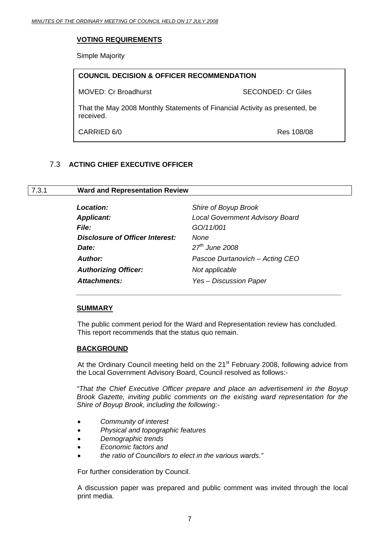#### **VOTING REQUIREMENTS**

Simple Majority

| <b>COUNCIL DECISION &amp; OFFICER RECOMMENDATION</b>                                     |                           |  |
|------------------------------------------------------------------------------------------|---------------------------|--|
| <b>MOVED: Cr Broadhurst</b>                                                              | <b>SECONDED: Cr Giles</b> |  |
| That the May 2008 Monthly Statements of Financial Activity as presented, be<br>received. |                           |  |
| CARRIED 6/0                                                                              | Res 108/08                |  |

#### 7.3 **ACTING CHIEF EXECUTIVE OFFICER**

#### 7.3.1 **Ward and Representation Review**

| Location:                              | Shire of Boyup Brook                   |
|----------------------------------------|----------------------------------------|
| <b>Applicant:</b>                      | <b>Local Government Advisory Board</b> |
| <b>File:</b>                           | GO/11/001                              |
| <b>Disclosure of Officer Interest:</b> | None                                   |
| Date:                                  | $27th$ June 2008                       |
| <b>Author:</b>                         | Pascoe Durtanovich - Acting CEO        |
| <b>Authorizing Officer:</b>            | Not applicable                         |
| <b>Attachments:</b>                    | Yes - Discussion Paper                 |

 $\bar{a}$  ,  $\bar{a}$  ,  $\bar{a}$  ,  $\bar{a}$  ,  $\bar{a}$  ,  $\bar{a}$  ,  $\bar{a}$  ,  $\bar{a}$  ,  $\bar{a}$  ,  $\bar{a}$  ,  $\bar{a}$  ,  $\bar{a}$  ,  $\bar{a}$  ,  $\bar{a}$  ,  $\bar{a}$  ,  $\bar{a}$  ,  $\bar{a}$  ,  $\bar{a}$  ,  $\bar{a}$  ,  $\bar{a}$  ,  $\bar{a}$  ,  $\bar{a}$  ,

#### **SUMMARY**

The public comment period for the Ward and Representation review has concluded. This report recommends that the status quo remain.

#### **BACKGROUND**

At the Ordinary Council meeting held on the 21<sup>st</sup> February 2008, following advice from the Local Government Advisory Board, Council resolved as follows:-

*"That the Chief Executive Officer prepare and place an advertisement in the Boyup Brook Gazette, inviting public comments on the existing ward representation for the Shire of Boyup Brook, including the following:-* 

- *Community of interest*
- *Physical and topographic features*
- *Demographic trends*
- *Economic factors and*
- *the ratio of Councillors to elect in the various wards."*

For further consideration by Council.

A discussion paper was prepared and public comment was invited through the local print media.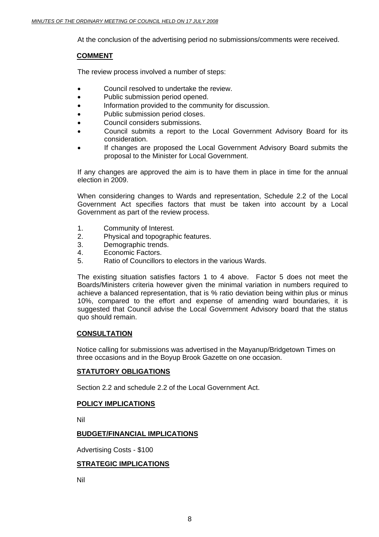At the conclusion of the advertising period no submissions/comments were received.

#### **COMMENT**

The review process involved a number of steps:

- Council resolved to undertake the review.
- Public submission period opened.
- Information provided to the community for discussion.
- Public submission period closes.
- Council considers submissions.
- Council submits a report to the Local Government Advisory Board for its consideration.
- If changes are proposed the Local Government Advisory Board submits the proposal to the Minister for Local Government.

If any changes are approved the aim is to have them in place in time for the annual election in 2009.

When considering changes to Wards and representation, Schedule 2.2 of the Local Government Act specifies factors that must be taken into account by a Local Government as part of the review process.

- 1. Community of Interest.
- 2. Physical and topographic features.
- 3. Demographic trends.
- 4. Economic Factors.
- 5. Ratio of Councillors to electors in the various Wards.

The existing situation satisfies factors 1 to 4 above. Factor 5 does not meet the Boards/Ministers criteria however given the minimal variation in numbers required to achieve a balanced representation, that is % ratio deviation being within plus or minus 10%, compared to the effort and expense of amending ward boundaries, it is suggested that Council advise the Local Government Advisory board that the status quo should remain.

#### **CONSULTATION**

Notice calling for submissions was advertised in the Mayanup/Bridgetown Times on three occasions and in the Boyup Brook Gazette on one occasion.

#### **STATUTORY OBLIGATIONS**

Section 2.2 and schedule 2.2 of the Local Government Act.

#### **POLICY IMPLICATIONS**

Nil

#### **BUDGET/FINANCIAL IMPLICATIONS**

Advertising Costs - \$100

#### **STRATEGIC IMPLICATIONS**

Nil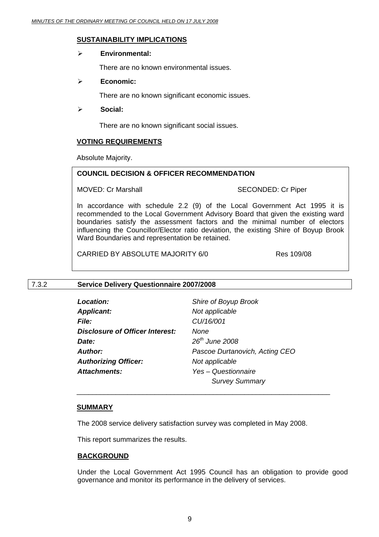#### **SUSTAINABILITY IMPLICATIONS**

#### ¾ **Environmental:**

There are no known environmental issues.

#### ¾ **Economic:**

There are no known significant economic issues.

#### ¾ **Social:**

There are no known significant social issues.

#### **VOTING REQUIREMENTS**

Absolute Majority.

#### **COUNCIL DECISION & OFFICER RECOMMENDATION**

MOVED: Cr Marshall SECONDED: Cr Piper

In accordance with schedule 2.2 (9) of the Local Government Act 1995 it is recommended to the Local Government Advisory Board that given the existing ward boundaries satisfy the assessment factors and the minimal number of electors influencing the Councillor/Elector ratio deviation, the existing Shire of Boyup Brook Ward Boundaries and representation be retained.

CARRIED BY ABSOLUTE MAJORITY 6/0 Res 109/08

#### 7.3.2 **Service Delivery Questionnaire 2007/2008**

| <b>Location:</b>                | Shire of Boyup Brook           |
|---------------------------------|--------------------------------|
| <b>Applicant:</b>               | Not applicable                 |
| <i>File:</i>                    | CU/16/001                      |
| Disclosure of Officer Interest: | None                           |
| Date:                           | $26th$ June 2008               |
| Author:                         | Pascoe Durtanovich, Acting CEO |
| <b>Authorizing Officer:</b>     | Not applicable                 |
| <b>Attachments:</b>             | Yes - Questionnaire            |
|                                 | <b>Survey Summary</b>          |

#### **SUMMARY**

The 2008 service delivery satisfaction survey was completed in May 2008.

 $\overline{\phantom{a}}$  , and the contract of the contract of the contract of the contract of the contract of the contract of the contract of the contract of the contract of the contract of the contract of the contract of the contrac

This report summarizes the results.

#### **BACKGROUND**

Under the Local Government Act 1995 Council has an obligation to provide good governance and monitor its performance in the delivery of services.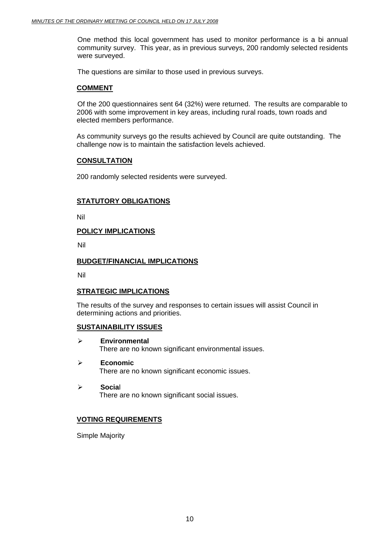One method this local government has used to monitor performance is a bi annual community survey. This year, as in previous surveys, 200 randomly selected residents were surveyed.

The questions are similar to those used in previous surveys.

#### **COMMENT**

 Of the 200 questionnaires sent 64 (32%) were returned. The results are comparable to 2006 with some improvement in key areas, including rural roads, town roads and elected members performance.

As community surveys go the results achieved by Council are quite outstanding. The challenge now is to maintain the satisfaction levels achieved.

#### **CONSULTATION**

200 randomly selected residents were surveyed.

#### **STATUTORY OBLIGATIONS**

Nil

#### **POLICY IMPLICATIONS**

Nil

#### **BUDGET/FINANCIAL IMPLICATIONS**

Nil

#### **STRATEGIC IMPLICATIONS**

The results of the survey and responses to certain issues will assist Council in determining actions and priorities.

#### **SUSTAINABILITY ISSUES**

- ¾ **Environmental**  There are no known significant environmental issues.
- ¾ **Economic**  There are no known significant economic issues.
- ¾ **Socia**l There are no known significant social issues.

#### **VOTING REQUIREMENTS**

Simple Majority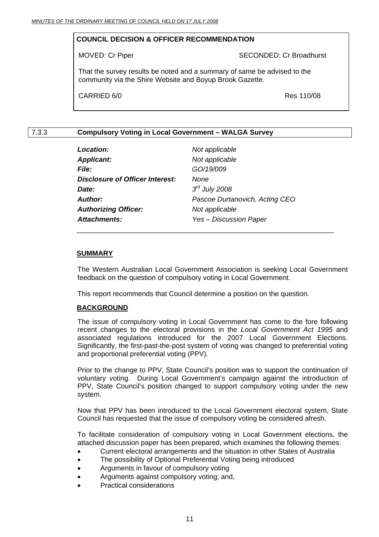#### **COUNCIL DECISION & OFFICER RECOMMENDATION**

MOVED: Cr Piper SECONDED: Cr Broadhurst

That the survey results be noted and a summary of same be advised to the community via the Shire Website and Boyup Brook Gazette.

CARRIED 6/0 Res 110/08

#### 7.3.3 **Compulsory Voting in Local Government – WALGA Survey**

| <b>Location:</b>                | Not applicable                 |
|---------------------------------|--------------------------------|
| <b>Applicant:</b>               | Not applicable                 |
| <b>File:</b>                    | GO/19/009                      |
| Disclosure of Officer Interest: | <b>None</b>                    |
| Date:                           | $3rd$ July 2008                |
| <b>Author:</b>                  | Pascoe Durtanovich, Acting CEO |
| <b>Authorizing Officer:</b>     | Not applicable                 |
| <b>Attachments:</b>             | <b>Yes - Discussion Paper</b>  |

#### **SUMMARY**

The Western Australian Local Government Association is seeking Local Government feedback on the question of compulsory voting in Local Government.

This report recommends that Council determine a position on the question.

#### **BACKGROUND**

The issue of compulsory voting in Local Government has come to the fore following recent changes to the electoral provisions in the *Local Government Act 1995* and associated regulations introduced for the 2007 Local Government Elections. Significantly, the first-past-the-post system of voting was changed to preferential voting and proportional preferential voting (PPV).

Prior to the change to PPV, State Council's position was to support the continuation of voluntary voting. During Local Government's campaign against the introduction of PPV, State Council's position changed to support compulsory voting under the new system.

Now that PPV has been introduced to the Local Government electoral system, State Council has requested that the issue of compulsory voting be considered afresh.

To facilitate consideration of compulsory voting in Local Government elections, the attached discussion paper has been prepared, which examines the following themes:

- Current electoral arrangements and the situation in other States of Australia
- The possibility of Optional Preferential Voting being introduced
- Arguments in favour of compulsory voting
- Arguments against compulsory voting; and,
- Practical considerations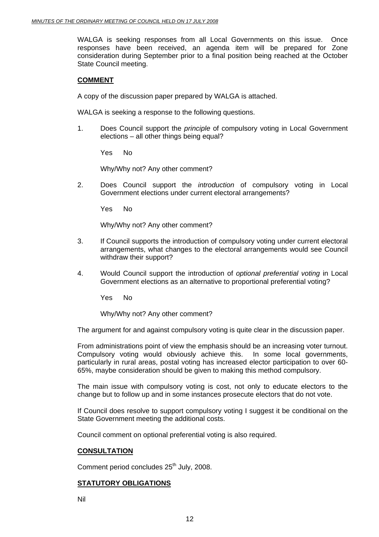WALGA is seeking responses from all Local Governments on this issue. Once responses have been received, an agenda item will be prepared for Zone consideration during September prior to a final position being reached at the October State Council meeting.

#### **COMMENT**

A copy of the discussion paper prepared by WALGA is attached.

WALGA is seeking a response to the following questions.

1. Does Council support the *principle* of compulsory voting in Local Government elections – all other things being equal?

Yes No

Why/Why not? Any other comment?

2. Does Council support the *introduction* of compulsory voting in Local Government elections under current electoral arrangements?

Yes No

Why/Why not? Any other comment?

- 3. If Council supports the introduction of compulsory voting under current electoral arrangements, what changes to the electoral arrangements would see Council withdraw their support?
- 4. Would Council support the introduction of *optional preferential voting* in Local Government elections as an alternative to proportional preferential voting?

Yes No

Why/Why not? Any other comment?

The argument for and against compulsory voting is quite clear in the discussion paper.

From administrations point of view the emphasis should be an increasing voter turnout. Compulsory voting would obviously achieve this. In some local governments, particularly in rural areas, postal voting has increased elector participation to over 60- 65%, maybe consideration should be given to making this method compulsory.

The main issue with compulsory voting is cost, not only to educate electors to the change but to follow up and in some instances prosecute electors that do not vote.

If Council does resolve to support compulsory voting I suggest it be conditional on the State Government meeting the additional costs.

Council comment on optional preferential voting is also required.

#### **CONSULTATION**

Comment period concludes 25<sup>th</sup> July, 2008.

#### **STATUTORY OBLIGATIONS**

Nil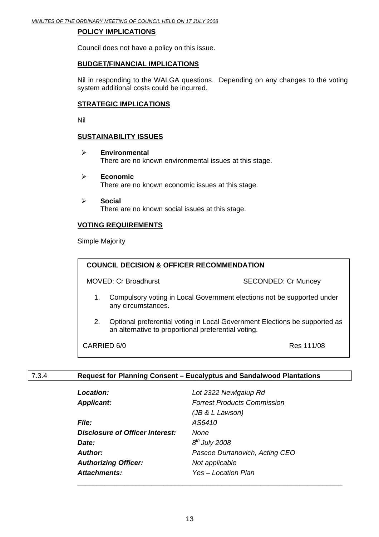#### **POLICY IMPLICATIONS**

Council does not have a policy on this issue.

#### **BUDGET/FINANCIAL IMPLICATIONS**

Nil in responding to the WALGA questions. Depending on any changes to the voting system additional costs could be incurred.

#### **STRATEGIC IMPLICATIONS**

Nil

#### **SUSTAINABILITY ISSUES**

- ¾ **Environmental**  There are no known environmental issues at this stage.
- ¾ **Economic**  There are no known economic issues at this stage.
- ¾ **Social**  There are no known social issues at this stage.

#### **VOTING REQUIREMENTS**

Simple Majority

| <b>COUNCIL DECISION &amp; OFFICER RECOMMENDATION</b> |                                                                                                                                   |                            |
|------------------------------------------------------|-----------------------------------------------------------------------------------------------------------------------------------|----------------------------|
|                                                      | <b>MOVED: Cr Broadhurst</b>                                                                                                       | <b>SECONDED: Cr Muncey</b> |
| 1.                                                   | Compulsory voting in Local Government elections not be supported under<br>any circumstances.                                      |                            |
| 2.                                                   | Optional preferential voting in Local Government Elections be supported as<br>an alternative to proportional preferential voting. |                            |
| Res 111/08<br>CARRIED 6/0                            |                                                                                                                                   |                            |

#### 7.3.4 **Request for Planning Consent – Eucalyptus and Sandalwood Plantations**

| <b>Location:</b>                | Lot 2322 Newlgalup Rd              |
|---------------------------------|------------------------------------|
| <b>Applicant:</b>               | <b>Forrest Products Commission</b> |
|                                 | (JB & L Lawson)                    |
| <b>File:</b>                    | AS6410                             |
| Disclosure of Officer Interest: | None                               |
| Date:                           | $8th$ July 2008                    |
| Author:                         | Pascoe Durtanovich, Acting CEO     |
| <b>Authorizing Officer:</b>     | Not applicable                     |
| <b>Attachments:</b>             | Yes – Location Plan                |
|                                 |                                    |

\_\_\_\_\_\_\_\_\_\_\_\_\_\_\_\_\_\_\_\_\_\_\_\_\_\_\_\_\_\_\_\_\_\_\_\_\_\_\_\_\_\_\_\_\_\_\_\_\_\_\_\_\_\_\_\_\_\_\_\_\_\_\_\_\_\_\_\_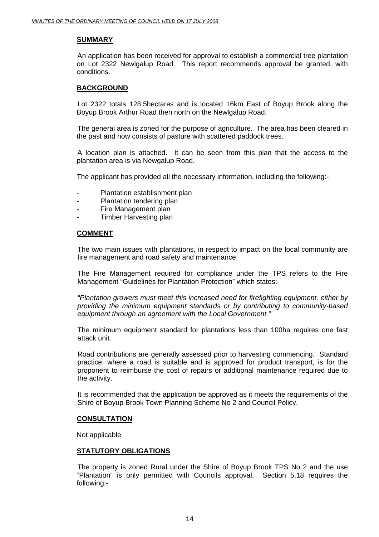#### **SUMMARY**

 An application has been received for approval to establish a commercial tree plantation on Lot 2322 Newlgalup Road. This report recommends approval be granted, with conditions.

#### **BACKGROUND**

 Lot 2322 totals 128.5hectares and is located 16km East of Boyup Brook along the Boyup Brook Arthur Road then north on the Newlgalup Road.

 The general area is zoned for the purpose of agriculture. The area has been cleared in the past and now consists of pasture with scattered paddock trees.

 A location plan is attached. It can be seen from this plan that the access to the plantation area is via Newgalup Road.

The applicant has provided all the necessary information, including the following:-

- Plantation establishment plan
- Plantation tendering plan
- Fire Management plan
- Timber Harvesting plan

#### **COMMENT**

The two main issues with plantations, in respect to impact on the local community are fire management and road safety and maintenance.

The Fire Management required for compliance under the TPS refers to the Fire Management "Guidelines for Plantation Protection" which states:-

*"Plantation growers must meet this increased need for firefighting equipment, either by providing the minimum equipment standards or by contributing to community-based equipment through an agreement with the Local Government."* 

The minimum equipment standard for plantations less than 100ha requires one fast attack unit.

Road contributions are generally assessed prior to harvesting commencing. Standard practice, where a road is suitable and is approved for product transport, is for the proponent to reimburse the cost of repairs or additional maintenance required due to the activity.

It is recommended that the application be approved as it meets the requirements of the Shire of Boyup Brook Town Planning Scheme No 2 and Council Policy.

#### **CONSULTATION**

Not applicable

#### **STATUTORY OBLIGATIONS**

 The property is zoned Rural under the Shire of Boyup Brook TPS No 2 and the use "Plantation" is only permitted with Councils approval. Section 5.18 requires the following:-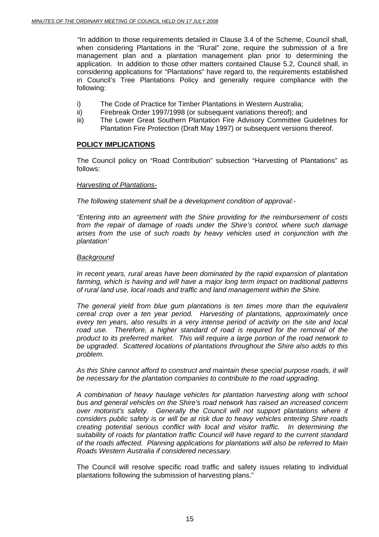"In addition to those requirements detailed in Clause 3.4 of the Scheme, Council shall, when considering Plantations in the "Rural" zone, require the submission of a fire management plan and a plantation management plan prior to determining the application. In addition to those other matters contained Clause 5.2, Council shall, in considering applications for "Plantations" have regard to, the requirements established in Council's Tree Plantations Policy and generally require compliance with the following:

- i) The Code of Practice for Timber Plantations in Western Australia;
- ii) Firebreak Order 1997/1998 (or subsequent variations thereof); and
- iii) The Lower Great Southern Plantation Fire Advisory Committee Guidelines for Plantation Fire Protection (Draft May 1997) or subsequent versions thereof.

#### **POLICY IMPLICATIONS**

The Council policy on "Road Contribution" subsection "Harvesting of Plantations" as follows:

#### *Harvesting of Plantations-*

*The following statement shall be a development condition of approval:-* 

*"Entering into an agreement with the Shire providing for the reimbursement of costs from the repair of damage of roads under the Shire's control, where such damage arises from the use of such roads by heavy vehicles used in conjunction with the plantation'* 

#### *Background*

*In recent years, rural areas have been dominated by the rapid expansion of plantation farming, which is having and will have a major long term impact on traditional patterns of rural land use, local roads and traffic and land management within the Shire.* 

*The general yield from blue gum plantations is ten times more than the equivalent cereal crop over a ten year period. Harvesting of plantations, approximately once every ten years, also results in a very intense period of activity on the site and local*  road use. Therefore, a higher standard of road is required for the removal of the *product to its preferred market. This will require a large portion of the road network to be upgraded. Scattered locations of plantations throughout the Shire also adds to this problem.* 

As this Shire cannot afford to construct and maintain these special purpose roads, it will *be necessary for the plantation companies to contribute to the road upgrading.* 

*A combination of heavy haulage vehicles for plantation harvesting along with school bus and general vehicles on the Shire's road network has raised an increased concern over motorist's safety. Generally the Council will not support plantations where it considers public safety is or will be at risk due to heavy vehicles entering Shire roads creating potential serious conflict with local and visitor traffic. In determining the suitability of roads for plantation traffic Council will have regard to the current standard of the roads affected. Planning applications for plantations will also be referred to Main Roads Western Australia if considered necessary.* 

The Council will resolve specific road traffic and safety issues relating to individual plantations following the submission of harvesting plans."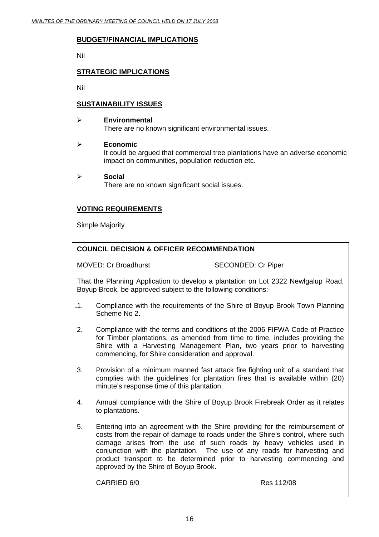#### **BUDGET/FINANCIAL IMPLICATIONS**

Nil

#### **STRATEGIC IMPLICATIONS**

Nil

#### **SUSTAINABILITY ISSUES**

#### ¾ **Environmental**

There are no known significant environmental issues.

#### ¾ **Economic**

It could be argued that commercial tree plantations have an adverse economic impact on communities, population reduction etc.

¾ **Social**  There are no known significant social issues.

#### **VOTING REQUIREMENTS**

Simple Majority

#### **COUNCIL DECISION & OFFICER RECOMMENDATION**

MOVED: Cr Broadhurst SECONDED: Cr Piper

That the Planning Application to develop a plantation on Lot 2322 Newlgalup Road, Boyup Brook, be approved subject to the following conditions:-

- 11. Compliance with the requirements of the Shire of Boyup Brook Town Planning Scheme No 2.
- 2. Compliance with the terms and conditions of the 2006 FIFWA Code of Practice for Timber plantations, as amended from time to time, includes providing the Shire with a Harvesting Management Plan, two years prior to harvesting commencing, for Shire consideration and approval.
- 3. Provision of a minimum manned fast attack fire fighting unit of a standard that complies with the guidelines for plantation fires that is available within (20) minute's response time of this plantation.
- 4. Annual compliance with the Shire of Boyup Brook Firebreak Order as it relates to plantations.
- 5. Entering into an agreement with the Shire providing for the reimbursement of costs from the repair of damage to roads under the Shire's control, where such damage arises from the use of such roads by heavy vehicles used in conjunction with the plantation. The use of any roads for harvesting and product transport to be determined prior to harvesting commencing and approved by the Shire of Boyup Brook.

CARRIED 6/0 Res 112/08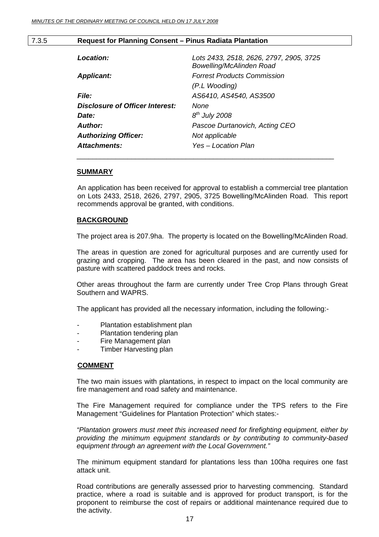#### 7.3.5 **Request for Planning Consent – Pinus Radiata Plantation**

| Location:                       | Lots 2433, 2518, 2626, 2797, 2905, 3725<br>Bowelling/McAlinden Road |
|---------------------------------|---------------------------------------------------------------------|
| <b>Applicant:</b>               | <b>Forrest Products Commission</b>                                  |
|                                 | (P.L Wooding)                                                       |
| <b>File:</b>                    | AS6410, AS4540, AS3500                                              |
| Disclosure of Officer Interest: | None                                                                |
| Date:                           | $8th$ July 2008                                                     |
| Author:                         | Pascoe Durtanovich, Acting CEO                                      |
| <b>Authorizing Officer:</b>     | Not applicable                                                      |
| Attachments:                    | Yes – Location Plan                                                 |
|                                 |                                                                     |

#### **SUMMARY**

An application has been received for approval to establish a commercial tree plantation on Lots 2433, 2518, 2626, 2797, 2905, 3725 Bowelling/McAlinden Road. This report recommends approval be granted, with conditions.

#### **BACKGROUND**

The project area is 207.9ha. The property is located on the Bowelling/McAlinden Road.

The areas in question are zoned for agricultural purposes and are currently used for grazing and cropping. The area has been cleared in the past, and now consists of pasture with scattered paddock trees and rocks.

Other areas throughout the farm are currently under Tree Crop Plans through Great Southern and WAPRS.

The applicant has provided all the necessary information, including the following:-

- Plantation establishment plan
- Plantation tendering plan
- Fire Management plan
- Timber Harvesting plan

#### **COMMENT**

The two main issues with plantations, in respect to impact on the local community are fire management and road safety and maintenance.

The Fire Management required for compliance under the TPS refers to the Fire Management "Guidelines for Plantation Protection" which states:-

*"Plantation growers must meet this increased need for firefighting equipment, either by providing the minimum equipment standards or by contributing to community-based equipment through an agreement with the Local Government."* 

The minimum equipment standard for plantations less than 100ha requires one fast attack unit.

Road contributions are generally assessed prior to harvesting commencing. Standard practice, where a road is suitable and is approved for product transport, is for the proponent to reimburse the cost of repairs or additional maintenance required due to the activity.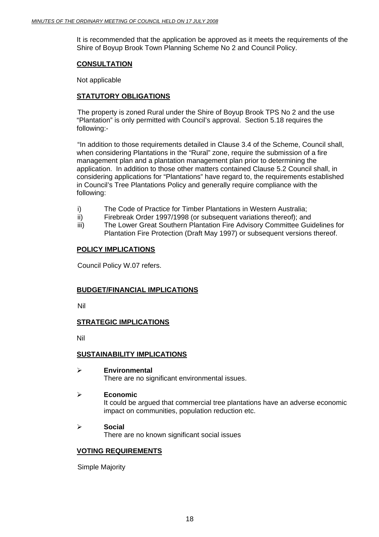It is recommended that the application be approved as it meets the requirements of the Shire of Boyup Brook Town Planning Scheme No 2 and Council Policy.

#### **CONSULTATION**

Not applicable

#### **STATUTORY OBLIGATIONS**

 The property is zoned Rural under the Shire of Boyup Brook TPS No 2 and the use "Plantation" is only permitted with Council's approval. Section 5.18 requires the following:-

 "In addition to those requirements detailed in Clause 3.4 of the Scheme, Council shall, when considering Plantations in the "Rural" zone, require the submission of a fire management plan and a plantation management plan prior to determining the application. In addition to those other matters contained Clause 5.2 Council shall, in considering applications for "Plantations" have regard to, the requirements established in Council's Tree Plantations Policy and generally require compliance with the following:

- i) The Code of Practice for Timber Plantations in Western Australia;
- ii) Firebreak Order 1997/1998 (or subsequent variations thereof); and
- iii) The Lower Great Southern Plantation Fire Advisory Committee Guidelines for Plantation Fire Protection (Draft May 1997) or subsequent versions thereof.

#### **POLICY IMPLICATIONS**

Council Policy W.07 refers.

#### **BUDGET/FINANCIAL IMPLICATIONS**

Nil

#### **STRATEGIC IMPLICATIONS**

Nil

#### **SUSTAINABILITY IMPLICATIONS**

¾ **Environmental** 

There are no significant environmental issues.

#### ¾ **Economic**

It could be argued that commercial tree plantations have an adverse economic impact on communities, population reduction etc.

#### ¾ **Social**

There are no known significant social issues

#### **VOTING REQUIREMENTS**

Simple Majority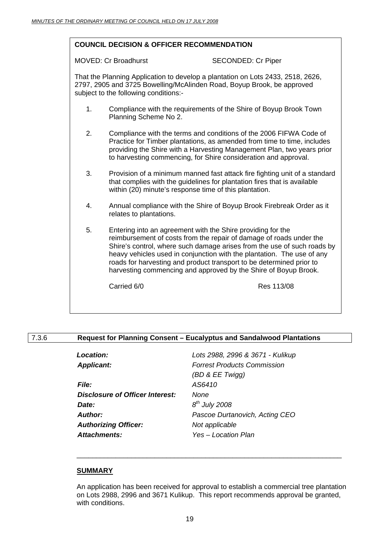#### **COUNCIL DECISION & OFFICER RECOMMENDATION**

MOVED: Cr Broadhurst SECONDED: Cr Piper

That the Planning Application to develop a plantation on Lots 2433, 2518, 2626, 2797, 2905 and 3725 Bowelling/McAlinden Road, Boyup Brook, be approved subject to the following conditions:-

- 1. Compliance with the requirements of the Shire of Boyup Brook Town Planning Scheme No 2.
- 2. Compliance with the terms and conditions of the 2006 FIFWA Code of Practice for Timber plantations, as amended from time to time, includes providing the Shire with a Harvesting Management Plan, two years prior to harvesting commencing, for Shire consideration and approval.
- 3. Provision of a minimum manned fast attack fire fighting unit of a standard that complies with the guidelines for plantation fires that is available within (20) minute's response time of this plantation.
- 4. Annual compliance with the Shire of Boyup Brook Firebreak Order as it relates to plantations.
- 5. Entering into an agreement with the Shire providing for the reimbursement of costs from the repair of damage of roads under the Shire's control, where such damage arises from the use of such roads by heavy vehicles used in conjunction with the plantation. The use of any roads for harvesting and product transport to be determined prior to harvesting commencing and approved by the Shire of Boyup Brook.

Carried 6/0 Res 113/08

#### 7.3.6 **Request for Planning Consent – Eucalyptus and Sandalwood Plantations**

| <b>Location:</b>                | Lots 2988, 2996 & 3671 - Kulikup   |
|---------------------------------|------------------------------------|
| <b>Applicant:</b>               | <b>Forrest Products Commission</b> |
|                                 | (BD & EE Twigg)                    |
| <i>File:</i>                    | AS6410                             |
| Disclosure of Officer Interest: | None                               |
| Date:                           | $8th$ July 2008                    |
| Author:                         | Pascoe Durtanovich, Acting CEO     |
| <b>Authorizing Officer:</b>     | Not applicable                     |
| <b>Attachments:</b>             | Yes - Location Plan                |

\_\_\_\_\_\_\_\_\_\_\_\_\_\_\_\_\_\_\_\_\_\_\_\_\_\_\_\_\_\_\_\_\_\_\_\_\_\_\_\_\_\_\_\_\_\_\_\_\_\_\_\_\_\_\_\_\_\_\_\_\_\_\_\_\_\_\_\_

#### **SUMMARY**

An application has been received for approval to establish a commercial tree plantation on Lots 2988, 2996 and 3671 Kulikup. This report recommends approval be granted, with conditions.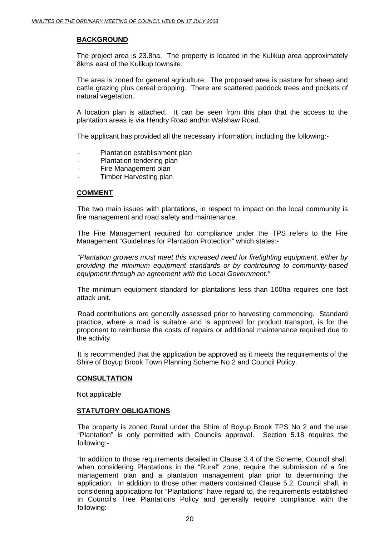#### **BACKGROUND**

The project area is 23.8ha. The property is located in the Kulikup area approximately 8kms east of the Kulikup townsite.

The area is zoned for general agriculture. The proposed area is pasture for sheep and cattle grazing plus cereal cropping. There are scattered paddock trees and pockets of natural vegetation.

A location plan is attached. It can be seen from this plan that the access to the plantation areas is via Hendry Road and/or Walshaw Road.

The applicant has provided all the necessary information, including the following:-

- Plantation establishment plan
- Plantation tendering plan
- Fire Management plan
- Timber Harvesting plan

#### **COMMENT**

The two main issues with plantations, in respect to impact on the local community is fire management and road safety and maintenance.

The Fire Management required for compliance under the TPS refers to the Fire Management "Guidelines for Plantation Protection" which states:-

*"Plantation growers must meet this increased need for firefighting equipment, either by providing the minimum equipment standards or by contributing to community-based equipment through an agreement with the Local Government."* 

The minimum equipment standard for plantations less than 100ha requires one fast attack unit.

Road contributions are generally assessed prior to harvesting commencing. Standard practice, where a road is suitable and is approved for product transport, is for the proponent to reimburse the costs of repairs or additional maintenance required due to the activity.

It is recommended that the application be approved as it meets the requirements of the Shire of Boyup Brook Town Planning Scheme No 2 and Council Policy.

#### **CONSULTATION**

Not applicable

#### **STATUTORY OBLIGATIONS**

The property is zoned Rural under the Shire of Boyup Brook TPS No 2 and the use "Plantation" is only permitted with Councils approval. Section 5.18 requires the following:-

"In addition to those requirements detailed in Clause 3.4 of the Scheme, Council shall, when considering Plantations in the "Rural" zone, require the submission of a fire management plan and a plantation management plan prior to determining the application. In addition to those other matters contained Clause 5.2, Council shall, in considering applications for "Plantations" have regard to, the requirements established in Council's Tree Plantations Policy and generally require compliance with the following: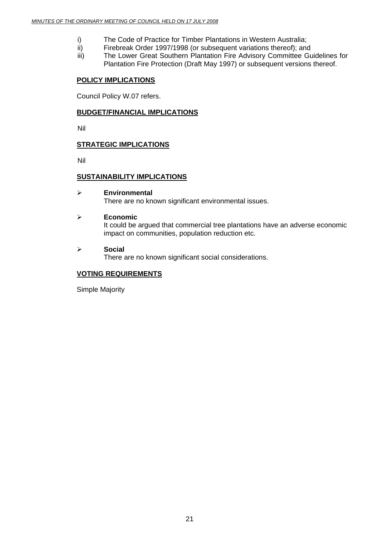- i) The Code of Practice for Timber Plantations in Western Australia;
- ii) Firebreak Order 1997/1998 (or subsequent variations thereof); and
- iii) The Lower Great Southern Plantation Fire Advisory Committee Guidelines for Plantation Fire Protection (Draft May 1997) or subsequent versions thereof.

#### **POLICY IMPLICATIONS**

Council Policy W.07 refers.

#### **BUDGET/FINANCIAL IMPLICATIONS**

Nil

#### **STRATEGIC IMPLICATIONS**

Nil

#### **SUSTAINABILITY IMPLICATIONS**

#### ¾ **Environmental**

There are no known significant environmental issues.

#### ¾ **Economic**

It could be argued that commercial tree plantations have an adverse economic impact on communities, population reduction etc.

#### ¾ **Social**

There are no known significant social considerations.

#### **VOTING REQUIREMENTS**

Simple Majority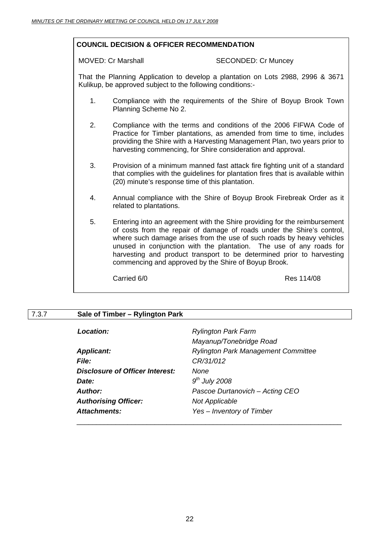#### **COUNCIL DECISION & OFFICER RECOMMENDATION**

#### MOVED: Cr Marshall SECONDED: Cr Muncey

That the Planning Application to develop a plantation on Lots 2988, 2996 & 3671 Kulikup, be approved subject to the following conditions:-

- 1. Compliance with the requirements of the Shire of Boyup Brook Town Planning Scheme No 2.
- 2. Compliance with the terms and conditions of the 2006 FIFWA Code of Practice for Timber plantations, as amended from time to time, includes providing the Shire with a Harvesting Management Plan, two years prior to harvesting commencing, for Shire consideration and approval.
- 3. Provision of a minimum manned fast attack fire fighting unit of a standard that complies with the guidelines for plantation fires that is available within (20) minute's response time of this plantation.
- 4. Annual compliance with the Shire of Boyup Brook Firebreak Order as it related to plantations.
- 5. Entering into an agreement with the Shire providing for the reimbursement of costs from the repair of damage of roads under the Shire's control, where such damage arises from the use of such roads by heavy vehicles unused in conjunction with the plantation. The use of any roads for harvesting and product transport to be determined prior to harvesting commencing and approved by the Shire of Boyup Brook.

Carried 6/0 Res 114/08

#### 7.3.7 **Sale of Timber – Rylington Park**

| <b>Location:</b>                | <b>Rylington Park Farm</b>                 |
|---------------------------------|--------------------------------------------|
|                                 | Mayanup/Tonebridge Road                    |
| <b>Applicant:</b>               | <b>Rylington Park Management Committee</b> |
| <b>File:</b>                    | CR/31/012                                  |
| Disclosure of Officer Interest: | None                                       |
| Date:                           | $9th$ July 2008                            |
| Author:                         | Pascoe Durtanovich - Acting CEO            |
| <b>Authorising Officer:</b>     | <b>Not Applicable</b>                      |
| <b>Attachments:</b>             | Yes - Inventory of Timber                  |
|                                 |                                            |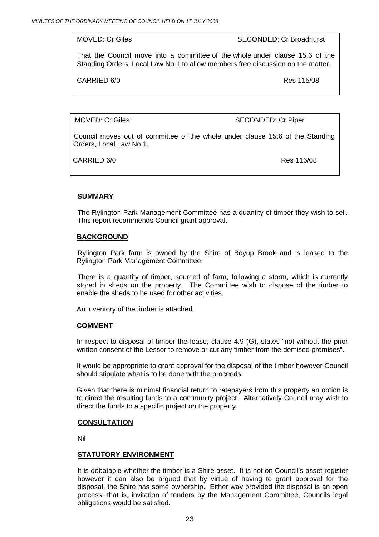MOVED: Cr Giles SECONDED: Cr Broadhurst

That the Council move into a committee of the whole under clause 15.6 of the Standing Orders, Local Law No.1.to allow members free discussion on the matter.

CARRIED 6/0 Res 115/08

MOVED: Cr Giles SECONDED: Cr Piper

Council moves out of committee of the whole under clause 15.6 of the Standing Orders, Local Law No.1.

CARRIED 6/0 Res 116/08

#### **SUMMARY**

The Rylington Park Management Committee has a quantity of timber they wish to sell. This report recommends Council grant approval.

#### **BACKGROUND**

 Rylington Park farm is owned by the Shire of Boyup Brook and is leased to the Rylington Park Management Committee.

 There is a quantity of timber, sourced of farm, following a storm, which is currently stored in sheds on the property. The Committee wish to dispose of the timber to enable the sheds to be used for other activities.

An inventory of the timber is attached.

#### **COMMENT**

In respect to disposal of timber the lease, clause 4.9 (G), states "not without the prior written consent of the Lessor to remove or cut any timber from the demised premises".

It would be appropriate to grant approval for the disposal of the timber however Council should stipulate what is to be done with the proceeds.

Given that there is minimal financial return to ratepayers from this property an option is to direct the resulting funds to a community project. Alternatively Council may wish to direct the funds to a specific project on the property.

#### **CONSULTATION**

Nil

#### **STATUTORY ENVIRONMENT**

It is debatable whether the timber is a Shire asset. It is not on Council's asset register however it can also be argued that by virtue of having to grant approval for the disposal, the Shire has some ownership. Either way provided the disposal is an open process, that is, invitation of tenders by the Management Committee, Councils legal obligations would be satisfied.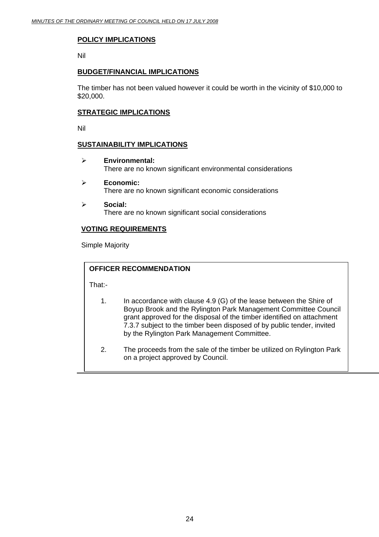#### **POLICY IMPLICATIONS**

Nil

#### **BUDGET/FINANCIAL IMPLICATIONS**

The timber has not been valued however it could be worth in the vicinity of \$10,000 to \$20,000.

#### **STRATEGIC IMPLICATIONS**

Nil

#### **SUSTAINABILITY IMPLICATIONS**

- ¾ **Environmental:**  There are no known significant environmental considerations
- ¾ **Economic:**  There are no known significant economic considerations
- ¾ **Social:**  There are no known significant social considerations

#### **VOTING REQUIREMENTS**

Simple Majority

#### **OFFICER RECOMMENDATION**

That:-

- 1. In accordance with clause 4.9 (G) of the lease between the Shire of Boyup Brook and the Rylington Park Management Committee Council grant approved for the disposal of the timber identified on attachment 7.3.7 subject to the timber been disposed of by public tender, invited by the Rylington Park Management Committee.
- 2. The proceeds from the sale of the timber be utilized on Rylington Park on a project approved by Council.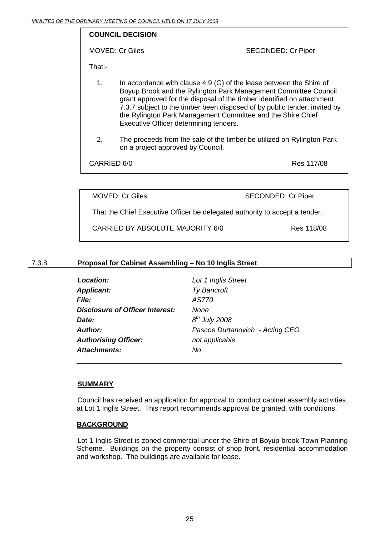#### **COUNCIL DECISION**

MOVED: Cr Giles SECONDED: Cr Piper

That:-

- 1. In accordance with clause 4.9 (G) of the lease between the Shire of Boyup Brook and the Rylington Park Management Committee Council grant approved for the disposal of the timber identified on attachment 7.3.7 subject to the timber been disposed of by public tender, invited by the Rylington Park Management Committee and the Shire Chief Executive Officer determining tenders.
- 2. The proceeds from the sale of the timber be utilized on Rylington Park on a project approved by Council.

CARRIED 6/0 Res 117/08

MOVED: Cr Giles SECONDED: Cr Piper

That the Chief Executive Officer be delegated authority to accept a tender.

CARRIED BY ABSOLUTE MAJORITY 6/0 Res 118/08

#### 7.3.8 **Proposal for Cabinet Assembling – No 10 Inglis Street**

| Location:                       | Lot 1 Inglis Street             |
|---------------------------------|---------------------------------|
| <b>Applicant:</b>               | <b>Ty Bancroft</b>              |
| <i>File:</i>                    | AS770                           |
| Disclosure of Officer Interest: | <b>None</b>                     |
| Date:                           | $8th$ July 2008                 |
| Author:                         | Pascoe Durtanovich - Acting CEO |
| <b>Authorising Officer:</b>     | not applicable                  |
| <b>Attachments:</b>             | No                              |

\_\_\_\_\_\_\_\_\_\_\_\_\_\_\_\_\_\_\_\_\_\_\_\_\_\_\_\_\_\_\_\_\_\_\_\_\_\_\_\_\_\_\_\_\_\_\_\_\_\_\_\_\_\_\_\_\_\_\_\_\_\_\_\_\_\_\_\_

#### **SUMMARY**

 Council has received an application for approval to conduct cabinet assembly activities at Lot 1 Inglis Street. This report recommends approval be granted, with conditions.

#### **BACKGROUND**

 Lot 1 Inglis Street is zoned commercial under the Shire of Boyup brook Town Planning Scheme. Buildings on the property consist of shop front, residential accommodation and workshop. The buildings are available for lease.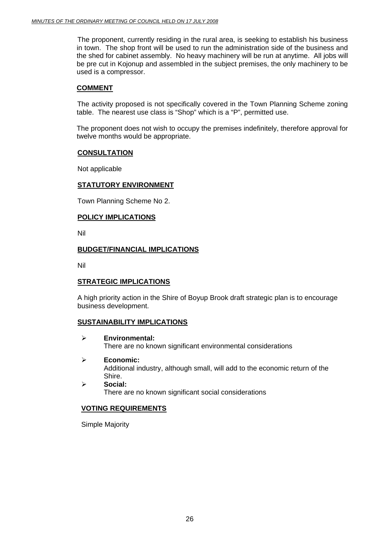The proponent, currently residing in the rural area, is seeking to establish his business in town. The shop front will be used to run the administration side of the business and the shed for cabinet assembly. No heavy machinery will be run at anytime. All jobs will be pre cut in Kojonup and assembled in the subject premises, the only machinery to be used is a compressor.

#### **COMMENT**

The activity proposed is not specifically covered in the Town Planning Scheme zoning table. The nearest use class is "Shop" which is a "P", permitted use.

The proponent does not wish to occupy the premises indefinitely, therefore approval for twelve months would be appropriate.

#### **CONSULTATION**

Not applicable

#### **STATUTORY ENVIRONMENT**

Town Planning Scheme No 2.

#### **POLICY IMPLICATIONS**

Nil

#### **BUDGET/FINANCIAL IMPLICATIONS**

Nil

#### **STRATEGIC IMPLICATIONS**

A high priority action in the Shire of Boyup Brook draft strategic plan is to encourage business development.

#### **SUSTAINABILITY IMPLICATIONS**

- ¾ **Environmental:**  There are no known significant environmental considerations
- ¾ **Economic:**  Additional industry, although small, will add to the economic return of the Shire.
- ¾ **Social:**  There are no known significant social considerations

#### **VOTING REQUIREMENTS**

Simple Majority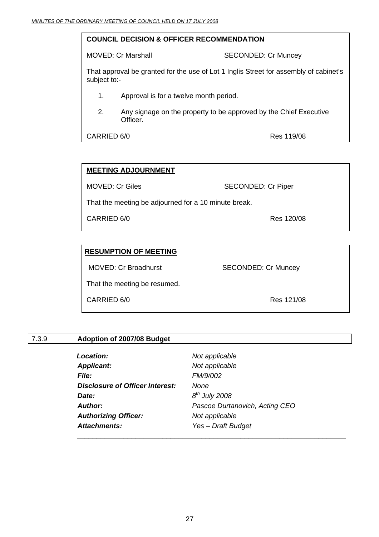#### **COUNCIL DECISION & OFFICER RECOMMENDATION**

MOVED: Cr Marshall SECONDED: Cr Muncey

That approval be granted for the use of Lot 1 Inglis Street for assembly of cabinet's subject to:-

- 1. Approval is for a twelve month period.
- 2. Any signage on the property to be approved by the Chief Executive Officer.

CARRIED 6/0 Res 119/08

#### **MEETING ADJOURNMENT**

MOVED: Cr Giles SECONDED: Cr Piper

That the meeting be adjourned for a 10 minute break.

CARRIED 6/0 Res 120/08

#### **RESUMPTION OF MEETING**

MOVED: Cr Broadhurst SECONDED: Cr Muncey

That the meeting be resumed.

CARRIED 6/0 Res 121/08

#### 7.3.9 **Adoption of 2007/08 Budget**

| <b>Location:</b>                       | Not applicable                 |
|----------------------------------------|--------------------------------|
| <b>Applicant:</b>                      | Not applicable                 |
| File:                                  | FM/9/002                       |
| <b>Disclosure of Officer Interest:</b> | None                           |
| Date:                                  | $8th$ July 2008                |
| <b>Author:</b>                         | Pascoe Durtanovich, Acting CEO |
| <b>Authorizing Officer:</b>            | Not applicable                 |
| <b>Attachments:</b>                    | Yes - Draft Budget             |
|                                        |                                |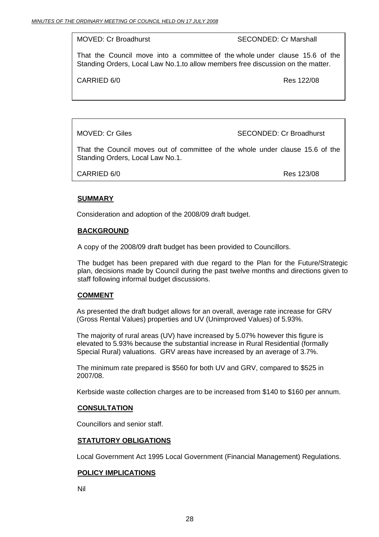MOVED: Cr Broadhurst SECONDED: Cr Marshall

That the Council move into a committee of the whole under clause 15.6 of the Standing Orders, Local Law No.1.to allow members free discussion on the matter.

CARRIED 6/0 Res 122/08

MOVED: Cr Giles SECONDED: Cr Broadhurst

That the Council moves out of committee of the whole under clause 15.6 of the Standing Orders, Local Law No.1.

CARRIED 6/0 Res 123/08

#### **SUMMARY**

Consideration and adoption of the 2008/09 draft budget.

#### **BACKGROUND**

A copy of the 2008/09 draft budget has been provided to Councillors.

The budget has been prepared with due regard to the Plan for the Future/Strategic plan, decisions made by Council during the past twelve months and directions given to staff following informal budget discussions.

#### **COMMENT**

As presented the draft budget allows for an overall, average rate increase for GRV (Gross Rental Values) properties and UV (Unimproved Values) of 5.93%.

The majority of rural areas (UV) have increased by 5.07% however this figure is elevated to 5.93% because the substantial increase in Rural Residential (formally Special Rural) valuations. GRV areas have increased by an average of 3.7%.

The minimum rate prepared is \$560 for both UV and GRV, compared to \$525 in 2007/08.

Kerbside waste collection charges are to be increased from \$140 to \$160 per annum.

#### **CONSULTATION**

Councillors and senior staff.

#### **STATUTORY OBLIGATIONS**

Local Government Act 1995 Local Government (Financial Management) Regulations.

#### **POLICY IMPLICATIONS**

Nil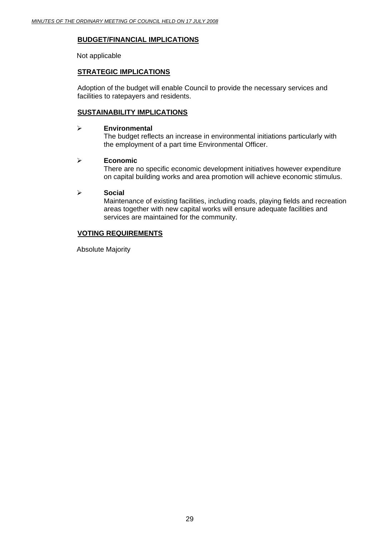#### **BUDGET/FINANCIAL IMPLICATIONS**

Not applicable

#### **STRATEGIC IMPLICATIONS**

Adoption of the budget will enable Council to provide the necessary services and facilities to ratepayers and residents.

#### **SUSTAINABILITY IMPLICATIONS**

#### ¾ **Environmental**

The budget reflects an increase in environmental initiations particularly with the employment of a part time Environmental Officer.

#### ¾ **Economic**

There are no specific economic development initiatives however expenditure on capital building works and area promotion will achieve economic stimulus.

#### ¾ **Social**

Maintenance of existing facilities, including roads, playing fields and recreation areas together with new capital works will ensure adequate facilities and services are maintained for the community.

#### **VOTING REQUIREMENTS**

Absolute Majority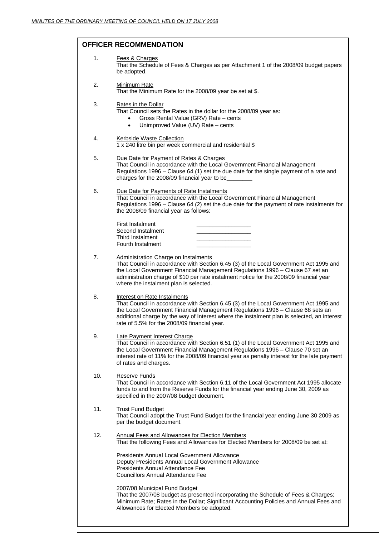#### **OFFICER RECOMMENDATION**

| 1.  | Fees & Charges<br>That the Schedule of Fees & Charges as per Attachment 1 of the 2008/09 budget papers<br>be adopted.                                                                                                                                                                                                                                      |
|-----|------------------------------------------------------------------------------------------------------------------------------------------------------------------------------------------------------------------------------------------------------------------------------------------------------------------------------------------------------------|
| 2.  | <b>Minimum Rate</b><br>That the Minimum Rate for the 2008/09 year be set at \$.                                                                                                                                                                                                                                                                            |
| 3.  | Rates in the Dollar<br>That Council sets the Rates in the dollar for the 2008/09 year as:<br>Gross Rental Value (GRV) Rate - cents<br>$\bullet$<br>Unimproved Value (UV) Rate - cents<br>$\bullet$                                                                                                                                                         |
| 4.  | <b>Kerbside Waste Collection</b><br>1 x 240 litre bin per week commercial and residential \$                                                                                                                                                                                                                                                               |
| 5.  | Due Date for Payment of Rates & Charges<br>That Council in accordance with the Local Government Financial Management<br>Regulations 1996 - Clause 64 (1) set the due date for the single payment of a rate and<br>charges for the 2008/09 financial year to be                                                                                             |
| 6.  | Due Date for Payments of Rate Instalments<br>That Council in accordance with the Local Government Financial Management<br>Regulations 1996 - Clause 64 (2) set the due date for the payment of rate instalments for<br>the 2008/09 financial year as follows:                                                                                              |
|     | <b>First Instalment</b><br>Second Instalment<br>Third Instalment<br>Fourth Instalment                                                                                                                                                                                                                                                                      |
| 7.  | <b>Administration Charge on Instalments</b><br>That Council in accordance with Section 6.45 (3) of the Local Government Act 1995 and<br>the Local Government Financial Management Regulations 1996 - Clause 67 set an<br>administration charge of \$10 per rate instalment notice for the 2008/09 financial year<br>where the instalment plan is selected. |
| 8.  | Interest on Rate Instalments<br>That Council in accordance with Section 6.45 (3) of the Local Government Act 1995 and<br>the Local Government Financial Management Regulations 1996 - Clause 68 sets an<br>additional charge by the way of Interest where the instalment plan is selected, an interest<br>rate of 5.5% for the 2008/09 financial year.     |
| 9.  | Late Payment Interest Charge<br>That Council in accordance with Section 6.51 (1) of the Local Government Act 1995 and<br>the Local Government Financial Management Regulations 1996 - Clause 70 set an<br>interest rate of 11% for the 2008/09 financial year as penalty interest for the late payment<br>of rates and charges.                            |
| 10. | Reserve Funds<br>That Council in accordance with Section 6.11 of the Local Government Act 1995 allocate<br>funds to and from the Reserve Funds for the financial year ending June 30, 2009 as<br>specified in the 2007/08 budget document.                                                                                                                 |
| 11. | <b>Trust Fund Budget</b><br>That Council adopt the Trust Fund Budget for the financial year ending June 30 2009 as<br>per the budget document.                                                                                                                                                                                                             |
| 12. | <b>Annual Fees and Allowances for Election Members</b><br>That the following Fees and Allowances for Elected Members for 2008/09 be set at:                                                                                                                                                                                                                |
|     | <b>Presidents Annual Local Government Allowance</b><br>Deputy Presidents Annual Local Government Allowance<br>Presidents Annual Attendance Fee<br><b>Councillors Annual Attendance Fee</b>                                                                                                                                                                 |
|     | 2007/08 Municipal Fund Budget<br>That the 2007/08 budget as presented incorporating the Schedule of Fees & Charges;<br>Minimum Rate; Rates in the Dollar; Significant Accounting Policies and Annual Fees and<br>Allowances for Elected Members be adopted.                                                                                                |
|     |                                                                                                                                                                                                                                                                                                                                                            |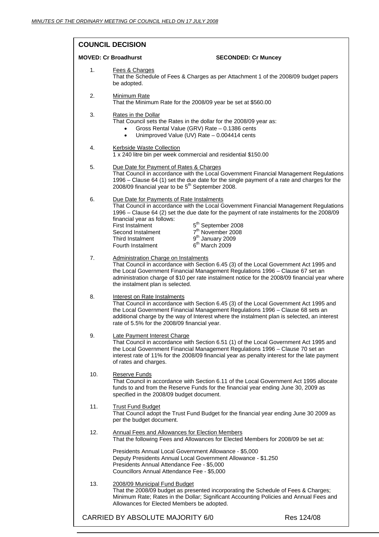#### **COUNCIL DECISION**

| <b>MOVED: Cr Broadhurst</b> | <b>SECONDED: Cr Muncey</b>                                                                                                                                                                                                                                                                                                                                                                                                                                                    |
|-----------------------------|-------------------------------------------------------------------------------------------------------------------------------------------------------------------------------------------------------------------------------------------------------------------------------------------------------------------------------------------------------------------------------------------------------------------------------------------------------------------------------|
| 1.                          | Fees & Charges<br>That the Schedule of Fees & Charges as per Attachment 1 of the 2008/09 budget papers<br>be adopted.                                                                                                                                                                                                                                                                                                                                                         |
| 2.                          | Minimum Rate<br>That the Minimum Rate for the 2008/09 year be set at \$560.00                                                                                                                                                                                                                                                                                                                                                                                                 |
| 3.                          | Rates in the Dollar<br>That Council sets the Rates in the dollar for the 2008/09 year as:<br>Gross Rental Value (GRV) Rate - 0.1386 cents<br>Unimproved Value (UV) Rate - 0.004414 cents<br>$\bullet$                                                                                                                                                                                                                                                                         |
| 4.                          | Kerbside Waste Collection<br>1 x 240 litre bin per week commercial and residential \$150.00                                                                                                                                                                                                                                                                                                                                                                                   |
| 5.                          | Due Date for Payment of Rates & Charges<br>That Council in accordance with the Local Government Financial Management Regulations<br>1996 – Clause 64 (1) set the due date for the single payment of a rate and charges for the<br>2008/09 financial year to be 5 <sup>th</sup> September 2008.                                                                                                                                                                                |
| 6.                          | Due Date for Payments of Rate Instalments<br>That Council in accordance with the Local Government Financial Management Regulations<br>1996 - Clause 64 (2) set the due date for the payment of rate instalments for the 2008/09<br>financial year as follows:<br>5 <sup>th</sup> September 2008<br><b>First Instalment</b><br>7 <sup>th</sup> November 2008<br>Second Instalment<br>9 <sup>th</sup> January 2009<br>Third Instalment<br>$6th$ March 2009<br>Fourth Instalment |
| 7.                          | <b>Administration Charge on Instalments</b><br>That Council in accordance with Section 6.45 (3) of the Local Government Act 1995 and<br>the Local Government Financial Management Regulations 1996 - Clause 67 set an<br>administration charge of \$10 per rate instalment notice for the 2008/09 financial year where<br>the instalment plan is selected.                                                                                                                    |
| 8.                          | Interest on Rate Instalments<br>That Council in accordance with Section 6.45 (3) of the Local Government Act 1995 and<br>the Local Government Financial Management Regulations 1996 - Clause 68 sets an<br>additional charge by the way of Interest where the instalment plan is selected, an interest<br>rate of 5.5% for the 2008/09 financial year.                                                                                                                        |
| 9.                          | Late Payment Interest Charge<br>That Council in accordance with Section 6.51 (1) of the Local Government Act 1995 and<br>the Local Government Financial Management Regulations 1996 - Clause 70 set an<br>interest rate of 11% for the 2008/09 financial year as penalty interest for the late payment<br>of rates and charges.                                                                                                                                               |
| 10.                         | Reserve Funds<br>That Council in accordance with Section 6.11 of the Local Government Act 1995 allocate<br>funds to and from the Reserve Funds for the financial year ending June 30, 2009 as<br>specified in the 2008/09 budget document.                                                                                                                                                                                                                                    |
| 11.                         | <b>Trust Fund Budget</b><br>That Council adopt the Trust Fund Budget for the financial year ending June 30 2009 as<br>per the budget document.                                                                                                                                                                                                                                                                                                                                |
| 12.                         | Annual Fees and Allowances for Election Members<br>That the following Fees and Allowances for Elected Members for 2008/09 be set at:                                                                                                                                                                                                                                                                                                                                          |
|                             | Presidents Annual Local Government Allowance - \$5,000<br>Deputy Presidents Annual Local Government Allowance - \$1.250<br>Presidents Annual Attendance Fee - \$5,000<br>Councillors Annual Attendance Fee - \$5,000                                                                                                                                                                                                                                                          |
| 13.                         | 2008/09 Municipal Fund Budget<br>That the 2008/09 budget as presented incorporating the Schedule of Fees & Charges;<br>Minimum Rate; Rates in the Dollar; Significant Accounting Policies and Annual Fees and<br>Allowances for Elected Members be adopted.                                                                                                                                                                                                                   |

31 CARRIED BY ABSOLUTE MAJORITY 6/0 Res 124/08